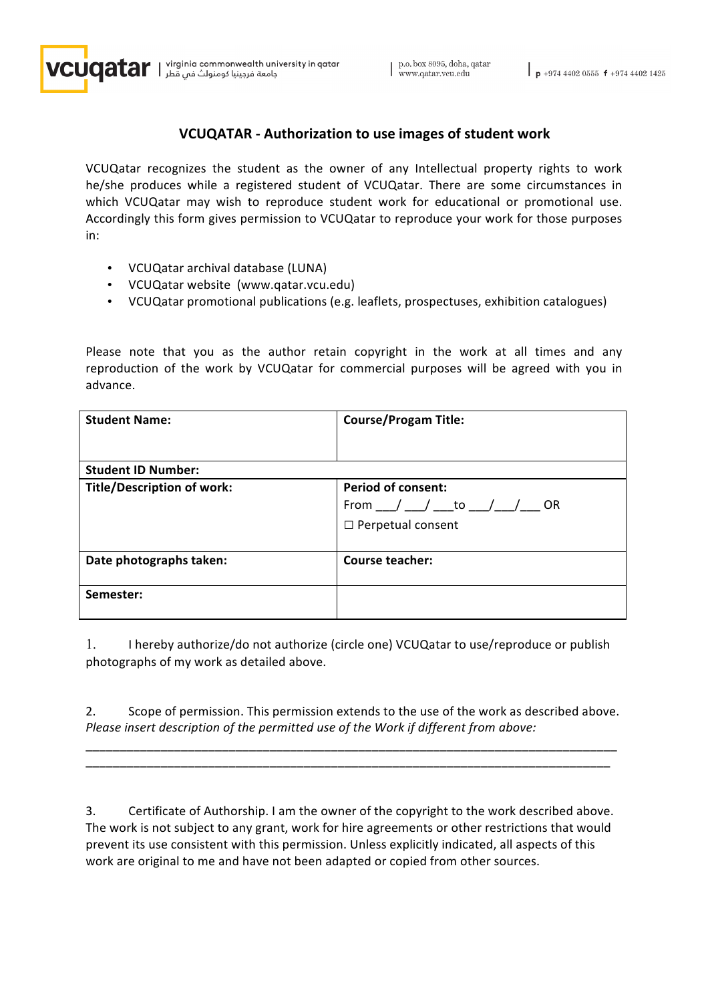

 $\mathbf{J}$ qatar | virginiq commonweqlth university in qatar | جامعة فرجينيا كومنولث فمي قطر

## **VCUQATAR** - Authorization to use images of student work

VCUQatar recognizes the student as the owner of any Intellectual property rights to work he/she produces while a registered student of VCUQatar. There are some circumstances in which VCUQatar may wish to reproduce student work for educational or promotional use. Accordingly this form gives permission to VCUQatar to reproduce your work for those purposes in: 

- VCUQatar archival database (LUNA)
- VCUQatar website (www.qatar.vcu.edu)
- VCUQatar promotional publications (e.g. leaflets, prospectuses, exhibition catalogues)

Please note that you as the author retain copyright in the work at all times and any reproduction of the work by VCUQatar for commercial purposes will be agreed with you in advance.

| <b>Student Name:</b>              | <b>Course/Progam Title:</b>                                                                |  |
|-----------------------------------|--------------------------------------------------------------------------------------------|--|
| <b>Student ID Number:</b>         |                                                                                            |  |
| <b>Title/Description of work:</b> | <b>Period of consent:</b><br>From __/ __/ ___to __/__/<br>- OR<br>$\Box$ Perpetual consent |  |
| Date photographs taken:           | <b>Course teacher:</b>                                                                     |  |
| Semester:                         |                                                                                            |  |

1. I hereby authorize/do not authorize (circle one) VCUQatar to use/reproduce or publish photographs of my work as detailed above.

2. Scope of permission. This permission extends to the use of the work as described above. *Please insert description of the permitted use of the Work if different from above:* 

\_\_\_\_\_\_\_\_\_\_\_\_\_\_\_\_\_\_\_\_\_\_\_\_\_\_\_\_\_\_\_\_\_\_\_\_\_\_\_\_\_\_\_\_\_\_\_\_\_\_\_\_\_\_\_\_\_\_\_\_\_\_\_\_\_\_\_\_\_\_\_\_\_\_\_\_\_\_ \_\_\_\_\_\_\_\_\_\_\_\_\_\_\_\_\_\_\_\_\_\_\_\_\_\_\_\_\_\_\_\_\_\_\_\_\_\_\_\_\_\_\_\_\_\_\_\_\_\_\_\_\_\_\_\_\_\_\_\_\_\_\_\_\_\_\_\_\_\_\_\_\_\_\_\_\_

3. Certificate of Authorship. I am the owner of the copyright to the work described above. The work is not subject to any grant, work for hire agreements or other restrictions that would prevent its use consistent with this permission. Unless explicitly indicated, all aspects of this work are original to me and have not been adapted or copied from other sources.